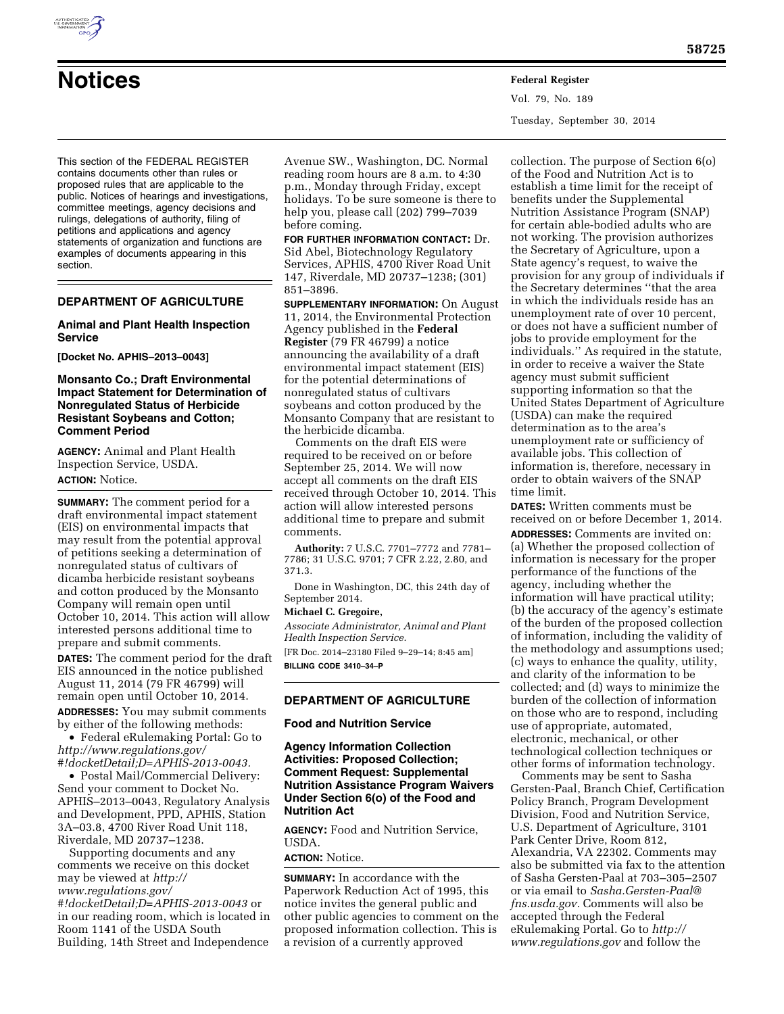This section of the FEDERAL REGISTER contains documents other than rules or proposed rules that are applicable to the public. Notices of hearings and investigations, committee meetings, agency decisions and rulings, delegations of authority, filing of petitions and applications and agency statements of organization and functions are examples of documents appearing in this section.

#### **DEPARTMENT OF AGRICULTURE**

#### **Animal and Plant Health Inspection Service**

**[Docket No. APHIS–2013–0043]** 

#### **Monsanto Co.; Draft Environmental Impact Statement for Determination of Nonregulated Status of Herbicide Resistant Soybeans and Cotton; Comment Period**

**AGENCY:** Animal and Plant Health Inspection Service, USDA. **ACTION:** Notice.

**SUMMARY:** The comment period for a draft environmental impact statement (EIS) on environmental impacts that may result from the potential approval of petitions seeking a determination of nonregulated status of cultivars of dicamba herbicide resistant soybeans and cotton produced by the Monsanto Company will remain open until October 10, 2014. This action will allow interested persons additional time to prepare and submit comments.

**DATES:** The comment period for the draft EIS announced in the notice published August 11, 2014 (79 FR 46799) will remain open until October 10, 2014.

**ADDRESSES:** You may submit comments by either of the following methods: • Federal eRulemaking Portal: Go to

*[http://www.regulations.gov/](http://www.regulations.gov/#!docketDetail;D=APHIS-2013-0043) [#!docketDetail;D=APHIS-2013-0043.](http://www.regulations.gov/#!docketDetail;D=APHIS-2013-0043)* 

• Postal Mail/Commercial Delivery: Send your comment to Docket No. APHIS–2013–0043, Regulatory Analysis and Development, PPD, APHIS, Station 3A–03.8, 4700 River Road Unit 118, Riverdale, MD 20737–1238.

Supporting documents and any comments we receive on this docket may be viewed at *[http://](http://www.regulations.gov/#!docketDetail;D=APHIS-2013-0043) [www.regulations.gov/](http://www.regulations.gov/#!docketDetail;D=APHIS-2013-0043) [#!docketDetail;D=APHIS-2013-0043](http://www.regulations.gov/#!docketDetail;D=APHIS-2013-0043)* or in our reading room, which is located in Room 1141 of the USDA South Building, 14th Street and Independence

Avenue SW., Washington, DC. Normal reading room hours are 8 a.m. to 4:30 p.m., Monday through Friday, except holidays. To be sure someone is there to help you, please call (202) 799–7039 before coming.

**FOR FURTHER INFORMATION CONTACT:** Dr. Sid Abel, Biotechnology Regulatory Services, APHIS, 4700 River Road Unit 147, Riverdale, MD 20737–1238; (301) 851–3896.

**SUPPLEMENTARY INFORMATION:** On August 11, 2014, the Environmental Protection Agency published in the **Federal Register** (79 FR 46799) a notice announcing the availability of a draft environmental impact statement (EIS) for the potential determinations of nonregulated status of cultivars soybeans and cotton produced by the Monsanto Company that are resistant to the herbicide dicamba.

Comments on the draft EIS were required to be received on or before September 25, 2014. We will now accept all comments on the draft EIS received through October 10, 2014. This action will allow interested persons additional time to prepare and submit comments.

**Authority:** 7 U.S.C. 7701–7772 and 7781– 7786; 31 U.S.C. 9701; 7 CFR 2.22, 2.80, and 371.3.

Done in Washington, DC, this 24th day of September 2014.

## **Michael C. Gregoire,**

*Associate Administrator, Animal and Plant Health Inspection Service.* 

[FR Doc. 2014–23180 Filed 9–29–14; 8:45 am] **BILLING CODE 3410–34–P** 

#### **DEPARTMENT OF AGRICULTURE**

**Food and Nutrition Service** 

**Agency Information Collection Activities: Proposed Collection; Comment Request: Supplemental Nutrition Assistance Program Waivers Under Section 6(o) of the Food and Nutrition Act** 

**AGENCY:** Food and Nutrition Service, USDA.

#### **ACTION:** Notice.

**SUMMARY:** In accordance with the Paperwork Reduction Act of 1995, this notice invites the general public and other public agencies to comment on the proposed information collection. This is a revision of a currently approved

collection. The purpose of Section 6(o) of the Food and Nutrition Act is to establish a time limit for the receipt of benefits under the Supplemental Nutrition Assistance Program (SNAP) for certain able-bodied adults who are not working. The provision authorizes the Secretary of Agriculture, upon a State agency's request, to waive the provision for any group of individuals if the Secretary determines ''that the area in which the individuals reside has an unemployment rate of over 10 percent, or does not have a sufficient number of jobs to provide employment for the individuals.'' As required in the statute, in order to receive a waiver the State agency must submit sufficient supporting information so that the United States Department of Agriculture (USDA) can make the required determination as to the area's unemployment rate or sufficiency of available jobs. This collection of information is, therefore, necessary in order to obtain waivers of the SNAP time limit.

**DATES:** Written comments must be received on or before December 1, 2014. **ADDRESSES:** Comments are invited on: (a) Whether the proposed collection of information is necessary for the proper performance of the functions of the agency, including whether the information will have practical utility; (b) the accuracy of the agency's estimate of the burden of the proposed collection of information, including the validity of the methodology and assumptions used; (c) ways to enhance the quality, utility, and clarity of the information to be collected; and (d) ways to minimize the burden of the collection of information on those who are to respond, including use of appropriate, automated, electronic, mechanical, or other technological collection techniques or other forms of information technology.

Comments may be sent to Sasha Gersten-Paal, Branch Chief, Certification Policy Branch, Program Development Division, Food and Nutrition Service, U.S. Department of Agriculture, 3101 Park Center Drive, Room 812, Alexandria, VA 22302. Comments may also be submitted via fax to the attention of Sasha Gersten-Paal at 703–305–2507 or via email to *[Sasha.Gersten-Paal@](mailto:Sasha.Gersten-Paal@fns.usda.gov) [fns.usda.gov.](mailto:Sasha.Gersten-Paal@fns.usda.gov)* Comments will also be accepted through the Federal eRulemaking Portal. Go to *[http://](http://www.regulations.gov) [www.regulations.gov](http://www.regulations.gov)* and follow the

Vol. 79, No. 189 Tuesday, September 30, 2014